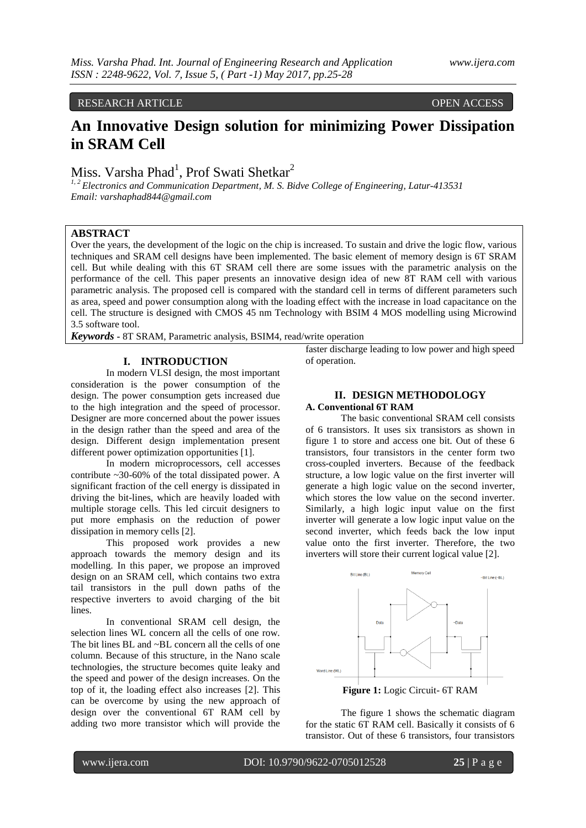# RESEARCH ARTICLE OPEN ACCESS

# **An Innovative Design solution for minimizing Power Dissipation in SRAM Cell**

Miss. Varsha Phad<sup>1</sup>, Prof Swati Shetkar<sup>2</sup>

*1, 2 Electronics and Communication Department, M. S. Bidve College of Engineering, Latur-413531 Email: varshaphad844@gmail.com*

# **ABSTRACT**

Over the years, the development of the logic on the chip is increased. To sustain and drive the logic flow, various techniques and SRAM cell designs have been implemented. The basic element of memory design is 6T SRAM cell. But while dealing with this 6T SRAM cell there are some issues with the parametric analysis on the performance of the cell. This paper presents an innovative design idea of new 8T RAM cell with various parametric analysis. The proposed cell is compared with the standard cell in terms of different parameters such as area, speed and power consumption along with the loading effect with the increase in load capacitance on the cell. The structure is designed with CMOS 45 nm Technology with BSIM 4 MOS modelling using Microwind 3.5 software tool.

*Keywords* **-** 8T SRAM, Parametric analysis, BSIM4, read/write operation

#### **I. INTRODUCTION**

In modern VLSI design, the most important consideration is the power consumption of the design. The power consumption gets increased due to the high integration and the speed of processor. Designer are more concerned about the power issues in the design rather than the speed and area of the design. Different design implementation present different power optimization opportunities [1].

In modern microprocessors, cell accesses contribute ~30-60% of the total dissipated power. A significant fraction of the cell energy is dissipated in driving the bit-lines, which are heavily loaded with multiple storage cells. This led circuit designers to put more emphasis on the reduction of power dissipation in memory cells [2].

This proposed work provides a new approach towards the memory design and its modelling. In this paper, we propose an improved design on an SRAM cell, which contains two extra tail transistors in the pull down paths of the respective inverters to avoid charging of the bit lines.

In conventional SRAM cell design, the selection lines WL concern all the cells of one row. The bit lines BL and ~BL concern all the cells of one column. Because of this structure, in the Nano scale technologies, the structure becomes quite leaky and the speed and power of the design increases. On the top of it, the loading effect also increases [2]. This can be overcome by using the new approach of design over the conventional 6T RAM cell by adding two more transistor which will provide the

faster discharge leading to low power and high speed of operation.

# **II. DESIGN METHODOLOGY**

### **A. Conventional 6T RAM**

The basic conventional SRAM cell consists of 6 transistors. It uses six transistors as shown in figure 1 to store and access one bit. Out of these 6 transistors, four transistors in the center form two cross-coupled inverters. Because of the feedback structure, a low logic value on the first inverter will generate a high logic value on the second inverter, which stores the low value on the second inverter. Similarly, a high logic input value on the first inverter will generate a low logic input value on the second inverter, which feeds back the low input value onto the first inverter. Therefore, the two inverters will store their current logical value [2].



The figure 1 shows the schematic diagram for the static 6T RAM cell. Basically it consists of 6 transistor. Out of these 6 transistors, four transistors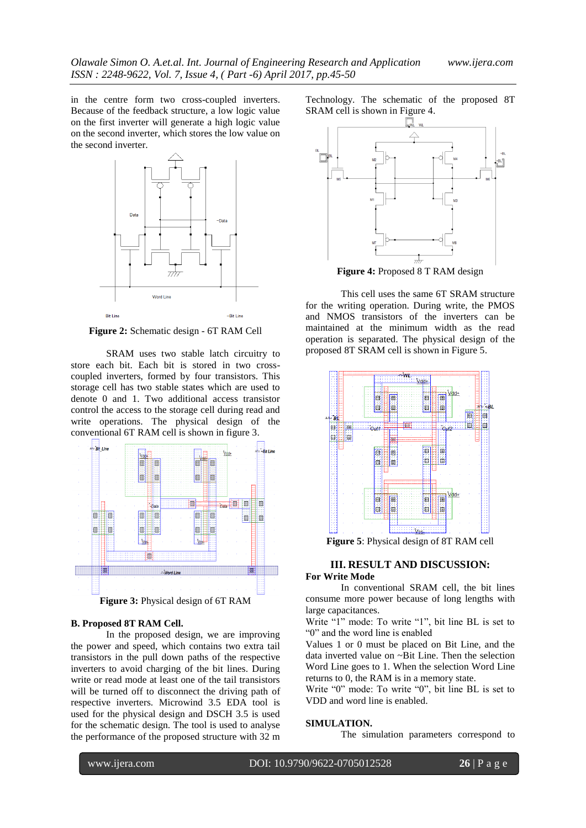in the centre form two cross-coupled inverters. Because of the feedback structure, a low logic value on the first inverter will generate a high logic value on the second inverter, which stores the low value on the second inverter.



**Figure 2:** Schematic design - 6T RAM Cell

SRAM uses two stable latch circuitry to store each bit. Each bit is stored in two crosscoupled inverters, formed by four transistors. This storage cell has two stable states which are used to denote 0 and 1. Two additional access transistor control the access to the storage cell during read and write operations. The physical design of the conventional 6T RAM cell is shown in figure 3.



# **B. Proposed 8T RAM Cell.**

In the proposed design, we are improving the power and speed, which contains two extra tail transistors in the pull down paths of the respective inverters to avoid charging of the bit lines. During write or read mode at least one of the tail transistors will be turned off to disconnect the driving path of respective inverters. Microwind 3.5 EDA tool is used for the physical design and DSCH 3.5 is used for the schematic design. The tool is used to analyse the performance of the proposed structure with 32 m Technology. The schematic of the proposed 8T SRAM cell is shown in Figure 4.



**Figure 4:** Proposed 8 T RAM design

This cell uses the same 6T SRAM structure for the writing operation. During write, the PMOS and NMOS transistors of the inverters can be maintained at the minimum width as the read operation is separated. The physical design of the proposed 8T SRAM cell is shown in Figure 5.



**Figure 5**: Physical design of 8T RAM cell

### **III. RESULT AND DISCUSSION: For Write Mode**

In conventional SRAM cell, the bit lines consume more power because of long lengths with large capacitances.

Write "1" mode: To write "1", bit line BL is set to "0" and the word line is enabled

Values 1 or 0 must be placed on Bit Line, and the data inverted value on ~Bit Line. Then the selection Word Line goes to 1. When the selection Word Line returns to 0, the RAM is in a memory state.

Write "0" mode: To write "0", bit line BL is set to VDD and word line is enabled.

#### **SIMULATION.**

The simulation parameters correspond to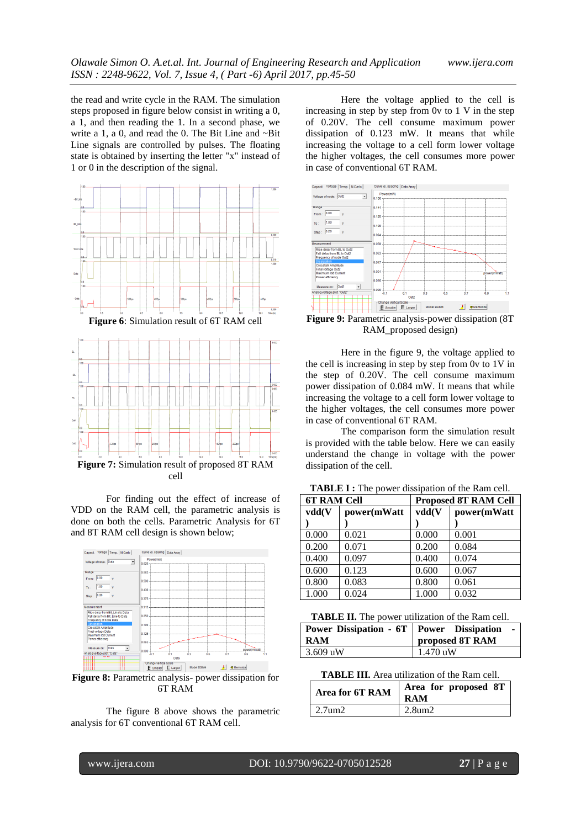the read and write cycle in the RAM. The simulation steps proposed in figure below consist in writing a 0, a 1, and then reading the 1. In a second phase, we write a 1, a 0, and read the 0. The Bit Line and ~Bit Line signals are controlled by pulses. The floating state is obtained by inserting the letter "x" instead of 1 or 0 in the description of the signal.



For finding out the effect of increase of VDD on the RAM cell, the parametric analysis is done on both the cells. Parametric Analysis for 6T and 8T RAM cell design is shown below;



6T RAM

The figure 8 above shows the parametric analysis for 6T conventional 6T RAM cell.

Here the voltage applied to the cell is increasing in step by step from 0v to 1 V in the step of 0.20V. The cell consume maximum power dissipation of 0.123 mW. It means that while increasing the voltage to a cell form lower voltage the higher voltages, the cell consumes more power in case of conventional 6T RAM.



**Figure 9:** Parametric analysis-power dissipation (8T RAM\_proposed design)

Here in the figure 9, the voltage applied to the cell is increasing in step by step from 0v to 1V in the step of 0.20V. The cell consume maximum power dissipation of 0.084 mW. It means that while increasing the voltage to a cell form lower voltage to the higher voltages, the cell consumes more power in case of conventional 6T RAM.

The comparison form the simulation result is provided with the table below. Here we can easily understand the change in voltage with the power dissipation of the cell.

| <b>6T RAM Cell</b> |             | <b>Proposed 8T RAM Cell</b> |             |
|--------------------|-------------|-----------------------------|-------------|
| vdd(V              | power(mWatt | vdd(V                       | power(mWatt |
|                    |             |                             |             |
| 0.000              | 0.021       | 0.000                       | 0.001       |
| 0.200              | 0.071       | 0.200                       | 0.084       |
| 0.400              | 0.097       | 0.400                       | 0.074       |
| 0.600              | 0.123       | 0.600                       | 0.067       |
| 0.800              | 0.083       | 0.800                       | 0.061       |
| 1.000              | 0.024       | 1.000                       | 0.032       |

**TABLE I :** The power dissipation of the Ram cell.

**TABLE II.** The power utilization of the Ram cell.

| <b>Power Dissipation - 6T   Power Dissipation</b> |                 |
|---------------------------------------------------|-----------------|
| <b>RAM</b>                                        | proposed 8T RAM |
| $3.609$ uW                                        | $1.470$ uW      |

**TABLE III.** Area utilization of the Ram cell.

| Area for 6T RAM  | Area for proposed 8T<br><b>RAM</b> |
|------------------|------------------------------------|
| $\sqrt{2.7}$ um2 | $2.8$ um $2.$                      |